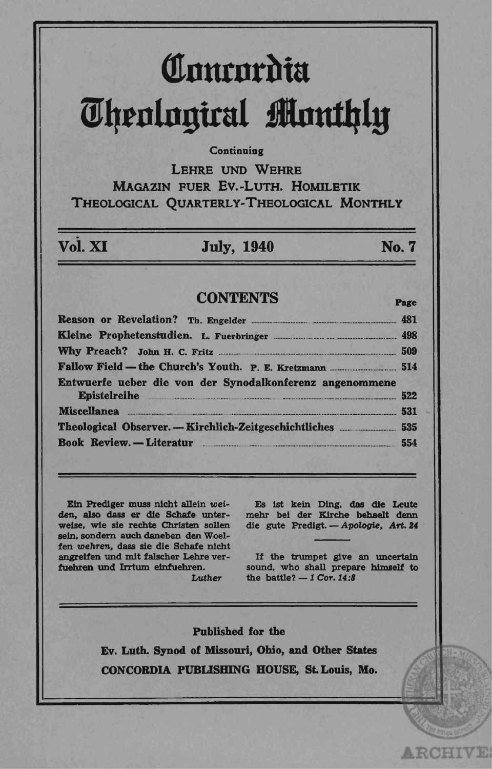# Comrordia **Theological Monthly**

#### Continuing

LEHRE UND WEHRE MAGAZIN FUER EV.-LUTH. HOMILETIK THEOLOGICAL QUARTERLY-THEOLOGICAL MONTHLY

## Vol. XI

## **July, 1940**

No. 7

Page

**ARCHIVE** 

### **CONTENTS**

|                                                                              | <b>ATTACK</b> |
|------------------------------------------------------------------------------|---------------|
| Entwuerfe ueber die von der Synodalkonferenz angenommene<br>Epistelreihe 522 |               |
| Miscellanea 531                                                              |               |
|                                                                              |               |
| <b>Book Review.</b> - Literatur 2554                                         |               |

Ein Prediger muss nicht allein weiden, also dass er die Schafe unterweise, wie sie rechte Christen sollen sein, sondern auch daneben den Woelfen wehren, dass sie die Schafe nicht angreifen und mit falscher Lehre verfuehren und Irrtum einfuehren.

**Luther** 

Es ist kein Ding, das die Leute mehr bei der Kirche behaelt denn die gute Predigt. - Apologie, Art. 24

If the trumpet give an uncertain sound, who shall prepare himself to the battle?  $-1$  Cor. 14:8

**Published for the** Ev. Luth. Synod of Missouri, Ohio, and Other States

CONCORDIA PUBLISHING HOUSE, St. Louis, Mo.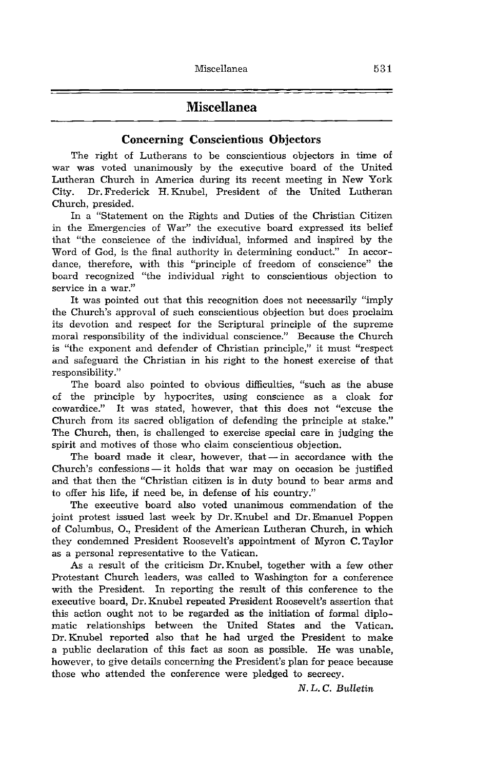## **Miscellanea**

#### Concerning Conscientious Objectors

The right of Lutherans to be conscientious objectors in time of war was voted unanimously by the executive board of the United Lutheran Church in America during its recent meeting in New York City. Dr. Frederick H. Knubel, President of the United Lutheran Church, presided.

In a "Statement on the Rights and Duties of the Christian Citizen in the Emergencies of War" the executive board expressed its belief that "the conscience of the individual, informed and inspired by the Word of God, is the final authority in determining conduct." In accordance, therefore, with this "principle of freedom of conscience" the board recognized "the individual right to conscientious objection to service in a war."

It was pointed out that this recognition does not necessarily "imply the Church's approval of such conscientious objection but does proclaim its devotion and respect for the Scriptural principle of the supreme moral responsibility of the individual conscience." Because the Church is "the exponent and defender of Christian principle," it must "respect and safeguard the Christian in his right to the honest exercise of that responsibility."

The board also pointed to obvious difficulties, "such as the abuse of the principle by hypocrites, using conscience as a cloak for cowardice." It was stated, however, that this does not "excuse the Church from its sacred obligation of defending the principle at stake." The Church, then, is challenged to exercise special care in judging the spirit and motives of those who claim conscientious objection.

The board made it clear, however, that  $-$  in accordance with the Church's confessions - it holds that war may on occasion be justified and that then the "Christian citizen is in duty bound to bear arms and to offer his life, if need be, in defense of his country."

The executive board also voted unanimous commendation of the joint protest issued last week by Dr. Knubel and Dr. Emanuel Poppen of Columbus, 0., President of the American Lutheran Church, in which they condemned President Roosevelt's appointment of Myron C. Taylor as a personal representative to the Vatican.

As a result of the criticism Dr. Knubel, together with a few other Protestant Church leaders, was called to Washington for a conference with the President. In reporting the result of this conference to the executive board, Dr. Knubel repeated President Roosevelt's assertion that this action ought not to be regarded as the initiation of formal diplomatic relationships between the United States and the Vatican. Dr. Knubel reported also that he had urged the President to make a public declaration of this fact as soon as possible. He was unable, however, to give details concerning the President's plan for peace because those who attended the conference were pledged to secrecy.

N. L. C. *Bulletin*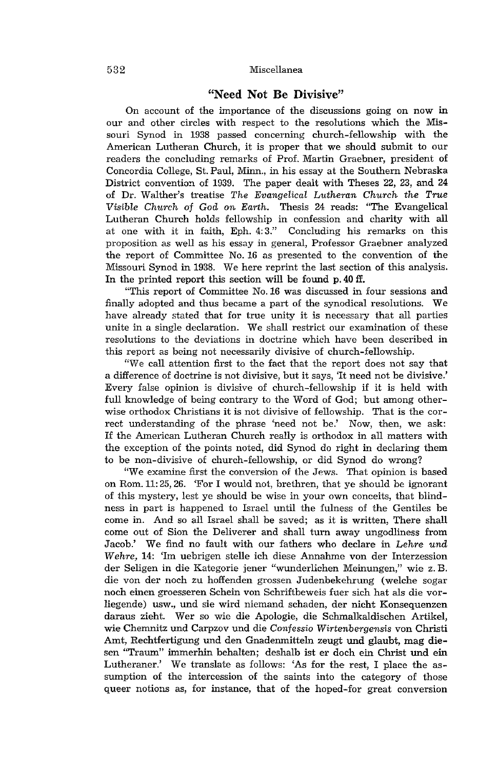#### 532 Miscellanea

#### "Need Not Be Divisive"

On account of the importance of the discussions going on now in our and other circles with respect to the resolutions which the Missouri Synod in 1938 passed concerning church-fellowship with the American Lutheran Church, it is proper that we should submit to our readers the concluding remarks of Prof. Martin Graebner, president of Concordia College, St. Paul, Minn., in his essay at the Southern Nebraska District convention of 1939. The paper dealt with Theses 22, 23, and 24 of Dr. Walther's treatise *The Evangelical Lutheran Church the True Visible Church of God on Em-th.* Thesis 24 reads: "The Evangelical Lutheran Church holds fellowship in confession and charity with all at one with it in faith, Eph. 4: 3." Concluding his remarks on this proposition as well as his essay in general, Professor Graebner analyzed the report of Committee No. 16 as presented to the convention of the Missouri Synod in 1938. We here reprint the last section of this analysis. In the printed report this section will be found p. 40 ff.

"This report of Committee No. 16 was discussed in four sessions and finally adopted and thus became a part of the synodical resolutions. We have already stated that for true unity it is necessary that all parties unite in a single declaration. We shall restrict our examination of these resolutions to the deviations in doctrine which have been described in this report as being not necessarily divisive of church-fellowship.

"We call attention first to the fact that the report does not say that a difference of doctrine is not divisive, but it says, 'It need not be divisive.' Every false opinion is divisive of church-fellowship if it is held with full knowledge of being contrary to the Word of God; but among otherwise orthodox Christians it is not divisive of fellowship. That is the correct understanding of the phrase 'need not be.' Now, then, we ask: If the American Lutheran Church really is orthodox in all matters with the exception of the points noted, did Synod do right in declaring them to be non-divisive of church-fellowship, or did Synod do wrong?

"We examine first the conversion of the Jews. That opinion is based on Rom. 11: 25, 26. 'For I would not, brethren, that ye should be ignorant of this mystery, lest ye should be wise in your own conceits, that blindness in part is happened to Israel until the fulness of the Gentiles be come in. And so all Israel shall be saved; as it is written, There shall come out of Sion the Deliverer and shall turn away ungodliness from Jacob.' We find no fault with our fathers who declare in *Lehre und Wehre,* 14: 'Im uebrigen stelle ich diese Annahme von der Interzession der Seligen in die Kategorie jener "wunderlichen Meinungen," wie z. B. die von der noch zu hoffenden grossen Judenbekehrung (welche sogar noch einen groesseren Schein von Schriftbeweis fuer sich hat als die vorliegende) usw., und sie wird niemand schaden, der nicht Konsequenzen daraus zieht. Wer so wie die Apologie, die Schmalkaldischen Artikel, wie Chemnitz und Carpzov und die *Confessio Wirtenbergensis* von Christi Amt, Rechtfertigung und den Gnadenmitteln zeugt und glaubt, mag diesen "Traum" immerhin behalten; deshalb ist er doch ein Christ und ein Lutheraner.' We translate as follows: 'As for the rest, I place the assumption of the intercession of the saints into the category of those queer notions as, for instance, that of the hoped-for great conversion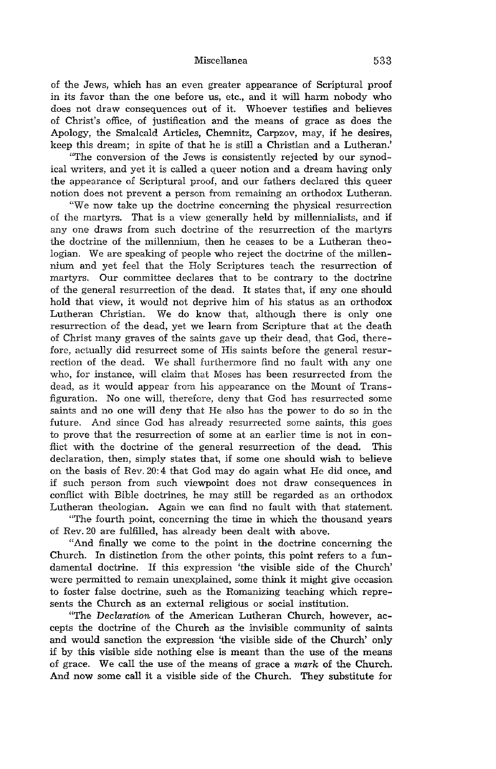Miscellanea 533

of the Jews, which has an even greater appearance of Scriptural proof in its favor than the one before us, etc., and it will harm nobody who does not draw consequences out of it. Whoever testifies and believes of Christ's office, of justification and the means of grace as does the Apology, the Smalcald Articles, Chemnitz, Carpzov, may, if he desires, keep this dream; in spite of that he is still a Christian and a Lutheran.'

"The conversion of the Jews is consistently rejected by our synodical writers, and yet it is called a queer notion and a dream having only the appearance of Scriptural proof, and our fathers declared this queer notion does not prevent a person from remaining an orthodox Lutheran.

"We now take up the doctrine concerning the physical resurrection of the martyrs. That is a view generally held by millennialists, and if any one draws from such doctrine of the resurrection of the martyrs the doctrine of the millennium, then he ceases to be a Lutheran theologian. We are speaking of people who reject the doctrine of the millennium and yet feel that the Holy Scriptures teach the resurrection of martyrs. Our committee declares that to be contrary to the doctrine of the general resurrection of the dead. It states that, if anyone should hold that view, it would not deprive him of his status as an orthodox Lutheran Christian. We do know that, although there is only one resurrection of the dead, yet we learn from Scripture that at the death of Christ many graves of the saints gave up their dead, that God, therefore, actually did resurrect some of His saints before the general resurrection of the dead. We shall furthermore find no fault with anyone who, for instance, will claim that Moses has been resurrected from the dead, as it would appear from his appearance on the Mount of Transfiguration. No one will, therefore, deny that God has resurrected some saints and no one will deny that He also has the power to do so in the future. And since God has already resurrected some saints, this goes to prove that the resurrection of some at an earlier time is not in conflict with the doctrine of the general resurrection of the dead. This declaration, then, simply states that, if some one should wish to believe on the basis of Rev. 20: 4 that God may do again what He did once, and if such person from such viewpoint does not draw consequences in conflict with Bible doctrines, he may still be regarded as an orthodox Lutheran theologian. Again we can find no fault with that statement.

"The fourth point, concerning the time in which the thousand years of Rev. 20 are fulfilled, has already been dealt with above.

"And finally we come to the point in the doctrine concerning the Church. In distinction from the other points, this point refers to a fundamental doctrine. If this expression 'the visible side of the Church' were pennitted to remain unexplained, some think it might give occasion to foster false doctrine, such as the Romanizing teaching which represents the Church as an external religious or social institution.

"The *Declaration* of the American Lutheran Church, however, accepts the doctrine of the Church as the invisible community of saints and would sanction the expression 'the visible side of the Church' only if by this visible side nothing else is meant than the use of the means of grace. We call the use of the means of grace a *mark* of the Church. And now some call it a visible side of the Church. They substitute for